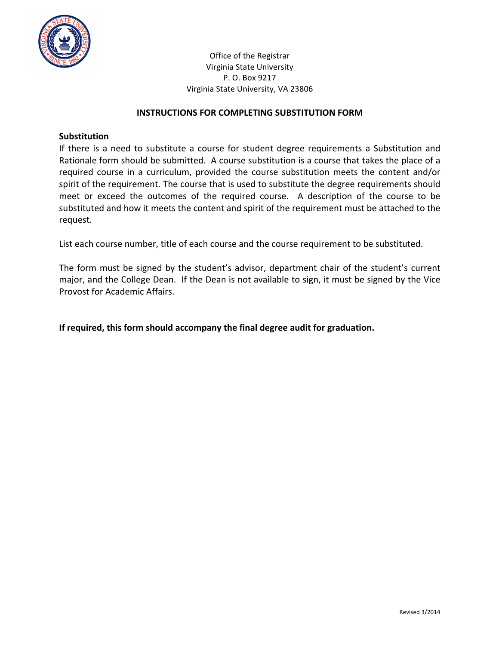

Office of the Registrar Virginia State University P. O. Box 9217 Virginia State University, VA 23806

#### **INSTRUCTIONS FOR COMPLETING SUBSTITUTION FORM**

#### **Substitution**

If there is a need to substitute a course for student degree requirements a Substitution and Rationale form should be submitted. A course substitution is a course that takes the place of a required course in a curriculum, provided the course substitution meets the content and/or spirit of the requirement. The course that is used to substitute the degree requirements should meet or exceed the outcomes of the required course. A description of the course to be substituted and how it meets the content and spirit of the requirement must be attached to the request.

List each course number, title of each course and the course requirement to be substituted.

The form must be signed by the student's advisor, department chair of the student's current major, and the College Dean. If the Dean is not available to sign, it must be signed by the Vice Provost for Academic Affairs.

**If required, this form should accompany the final degree audit for graduation.**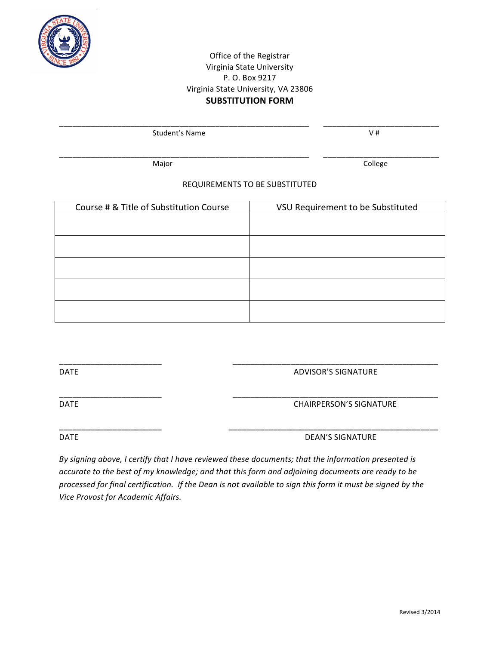

## Office of the Registrar Virginia State University P. O. Box 9217 Virginia State University, VA 23806 **SUBSTITUTION FORM**

\_\_\_\_\_\_\_\_\_\_\_\_\_\_\_\_\_\_\_\_\_\_\_\_\_\_\_\_\_\_\_\_\_\_\_\_\_\_\_\_\_\_\_\_\_\_\_\_\_\_\_\_\_\_\_\_ \_\_\_\_\_\_\_\_\_\_\_\_\_\_\_\_\_\_\_\_\_\_\_\_\_\_

 Student's Name V #

\_\_\_\_\_\_\_\_\_\_\_\_\_\_\_\_\_\_\_\_\_\_\_\_\_\_\_\_\_\_\_\_\_\_\_\_\_\_\_\_\_\_\_\_\_\_\_\_\_\_\_\_\_\_\_\_ \_\_\_\_\_\_\_\_\_\_\_\_\_\_\_\_\_\_\_\_\_\_\_\_\_\_

Major **Major** College

## REQUIREMENTS TO BE SUBSTITUTED

| Course # & Title of Substitution Course | VSU Requirement to be Substituted |
|-----------------------------------------|-----------------------------------|
|                                         |                                   |
|                                         |                                   |
|                                         |                                   |
|                                         |                                   |
|                                         |                                   |
|                                         |                                   |

\_\_\_\_\_\_\_\_\_\_\_\_\_\_\_\_\_\_\_\_\_\_\_ \_\_\_\_\_\_\_\_\_\_\_\_\_\_\_\_\_\_\_\_\_\_\_\_\_\_\_\_\_\_\_\_\_\_\_\_\_\_\_\_\_\_\_\_\_\_

DATE DATE ALL CONTROLL CONTROLL CONTROLL CONTROLL CONTROLL CONTROLL CONTROLL CONTROLL CONTROLL CONTROLL CONTROLL CONTROLL CONTROLL CONTROLL CONTROLL CONTROLL CONTROLL CONTROLL CONTROLL CONTROLL CONTROLL CONTROLL CONTROLL C

\_\_\_\_\_\_\_\_\_\_\_\_\_\_\_\_\_\_\_\_\_\_\_ \_\_\_\_\_\_\_\_\_\_\_\_\_\_\_\_\_\_\_\_\_\_\_\_\_\_\_\_\_\_\_\_\_\_\_\_\_\_\_\_\_\_\_\_\_\_ DATE **Example 20 and 20 and 20 and 20 and 20 and 20 and 20 and 20 and 20 and 20 and 20 and 20 and 20 and 20 and 20 and 20 and 20 and 20 and 20 and 20 and 20 and 20 and 20 and 20 and 20 and 20 and 20 and 20 and 20 and 20 an** 

\_\_\_\_\_\_\_\_\_\_\_\_\_\_\_\_\_\_\_\_\_\_\_ \_\_\_\_\_\_\_\_\_\_\_\_\_\_\_\_\_\_\_\_\_\_\_\_\_\_\_\_\_\_\_\_\_\_\_\_\_\_\_\_\_\_\_\_\_\_\_ DATE **DATE DEAN'S SIGNATURE** 

By signing above, I certify that I have reviewed these documents; that the information presented is accurate to the best of my knowledge; and that this form and adjoining documents are ready to be *processed for final certification. If the Dean is not available to sign this form it must be signed by the Vice Provost for Academic Affairs.*